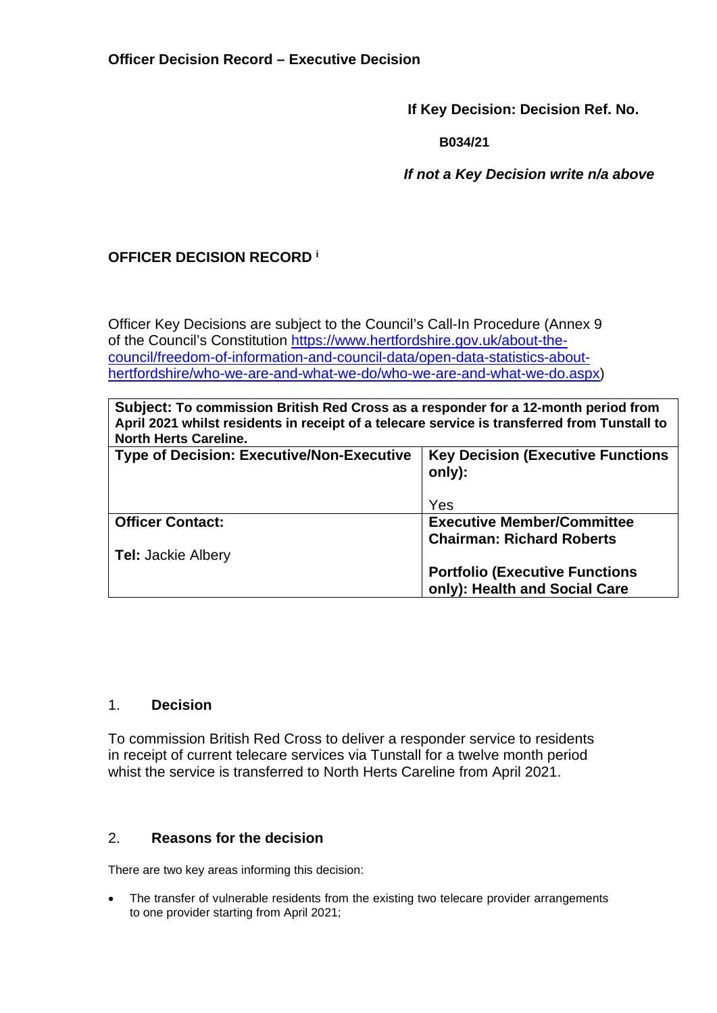**If Key Decision: Decision Ref. No.** 

**B034/21**

 *If not a Key Decision write n/a above* 

# **OFFICER DECISION RECORD <sup>i</sup>**

Officer Key Decisions are subject to the Council's Call-In Procedure (Annex 9 of the Council's Constitution https://www.hertfordshire.gov.uk/about-thecouncil/freedom-of-information-and-council-data/open-data-statistics-abouthertfordshire/who-we-are-and-what-we-do/who-we-are-and-what-we-do.aspx)

**Subject: To commission British Red Cross as a responder for a 12-month period from April 2021 whilst residents in receipt of a telecare service is transferred from Tunstall to North Herts Careline.**

| <b>Type of Decision: Executive/Non-Executive</b> | <b>Key Decision (Executive Functions)</b><br>only): |  |
|--------------------------------------------------|-----------------------------------------------------|--|
|                                                  | Yes                                                 |  |
| <b>Officer Contact:</b>                          | <b>Executive Member/Committee</b>                   |  |
|                                                  | <b>Chairman: Richard Roberts</b>                    |  |
| <b>Tel: Jackie Albery</b>                        |                                                     |  |
|                                                  | <b>Portfolio (Executive Functions)</b>              |  |
|                                                  | only): Health and Social Care                       |  |

## 1. **Decision**

To commission British Red Cross to deliver a responder service to residents in receipt of current telecare services via Tunstall for a twelve month period whist the service is transferred to North Herts Careline from April 2021.

#### 2. **Reasons for the decision**

There are two key areas informing this decision:

• The transfer of vulnerable residents from the existing two telecare provider arrangements to one provider starting from April 2021;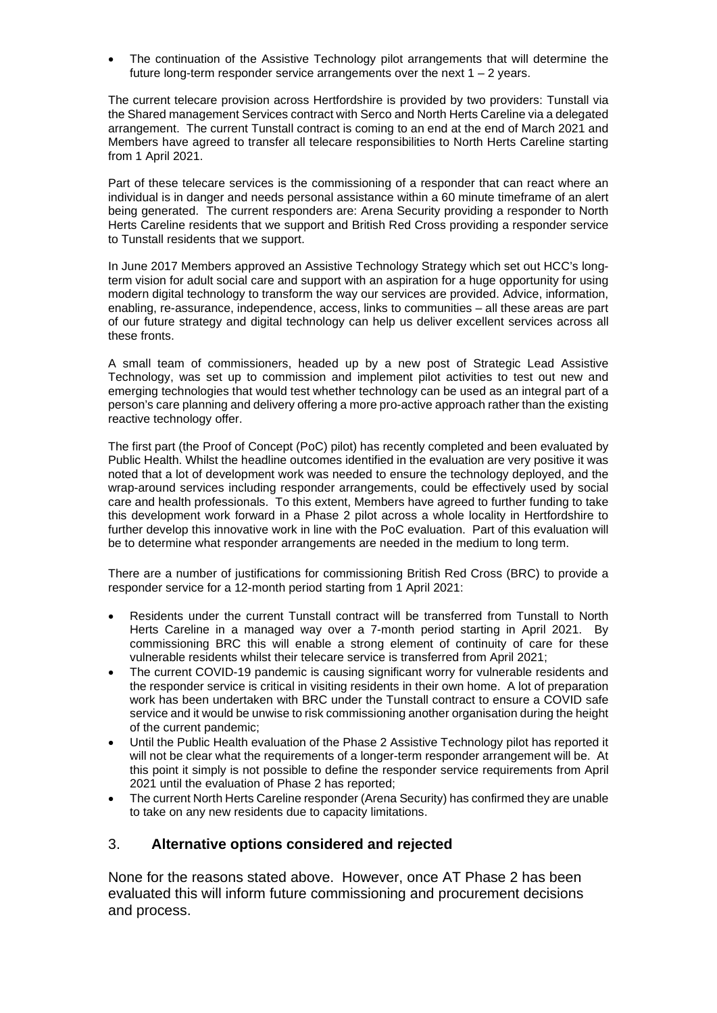The continuation of the Assistive Technology pilot arrangements that will determine the future long-term responder service arrangements over the next  $1 - 2$  years.

The current telecare provision across Hertfordshire is provided by two providers: Tunstall via the Shared management Services contract with Serco and North Herts Careline via a delegated arrangement. The current Tunstall contract is coming to an end at the end of March 2021 and Members have agreed to transfer all telecare responsibilities to North Herts Careline starting from 1 April 2021.

Part of these telecare services is the commissioning of a responder that can react where an individual is in danger and needs personal assistance within a 60 minute timeframe of an alert being generated. The current responders are: Arena Security providing a responder to North Herts Careline residents that we support and British Red Cross providing a responder service to Tunstall residents that we support.

In June 2017 Members approved an Assistive Technology Strategy which set out HCC's longterm vision for adult social care and support with an aspiration for a huge opportunity for using modern digital technology to transform the way our services are provided. Advice, information, enabling, re-assurance, independence, access, links to communities – all these areas are part of our future strategy and digital technology can help us deliver excellent services across all these fronts.

A small team of commissioners, headed up by a new post of Strategic Lead Assistive Technology, was set up to commission and implement pilot activities to test out new and emerging technologies that would test whether technology can be used as an integral part of a person's care planning and delivery offering a more pro-active approach rather than the existing reactive technology offer.

The first part (the Proof of Concept (PoC) pilot) has recently completed and been evaluated by Public Health. Whilst the headline outcomes identified in the evaluation are very positive it was noted that a lot of development work was needed to ensure the technology deployed, and the wrap-around services including responder arrangements, could be effectively used by social care and health professionals. To this extent, Members have agreed to further funding to take this development work forward in a Phase 2 pilot across a whole locality in Hertfordshire to further develop this innovative work in line with the PoC evaluation. Part of this evaluation will be to determine what responder arrangements are needed in the medium to long term.

There are a number of justifications for commissioning British Red Cross (BRC) to provide a responder service for a 12-month period starting from 1 April 2021:

- Residents under the current Tunstall contract will be transferred from Tunstall to North Herts Careline in a managed way over a 7-month period starting in April 2021. By commissioning BRC this will enable a strong element of continuity of care for these vulnerable residents whilst their telecare service is transferred from April 2021;
- The current COVID-19 pandemic is causing significant worry for vulnerable residents and the responder service is critical in visiting residents in their own home. A lot of preparation work has been undertaken with BRC under the Tunstall contract to ensure a COVID safe service and it would be unwise to risk commissioning another organisation during the height of the current pandemic;
- Until the Public Health evaluation of the Phase 2 Assistive Technology pilot has reported it will not be clear what the requirements of a longer-term responder arrangement will be. At this point it simply is not possible to define the responder service requirements from April 2021 until the evaluation of Phase 2 has reported;
- The current North Herts Careline responder (Arena Security) has confirmed they are unable to take on any new residents due to capacity limitations.

#### 3. **Alternative options considered and rejected**

None for the reasons stated above. However, once AT Phase 2 has been evaluated this will inform future commissioning and procurement decisions and process.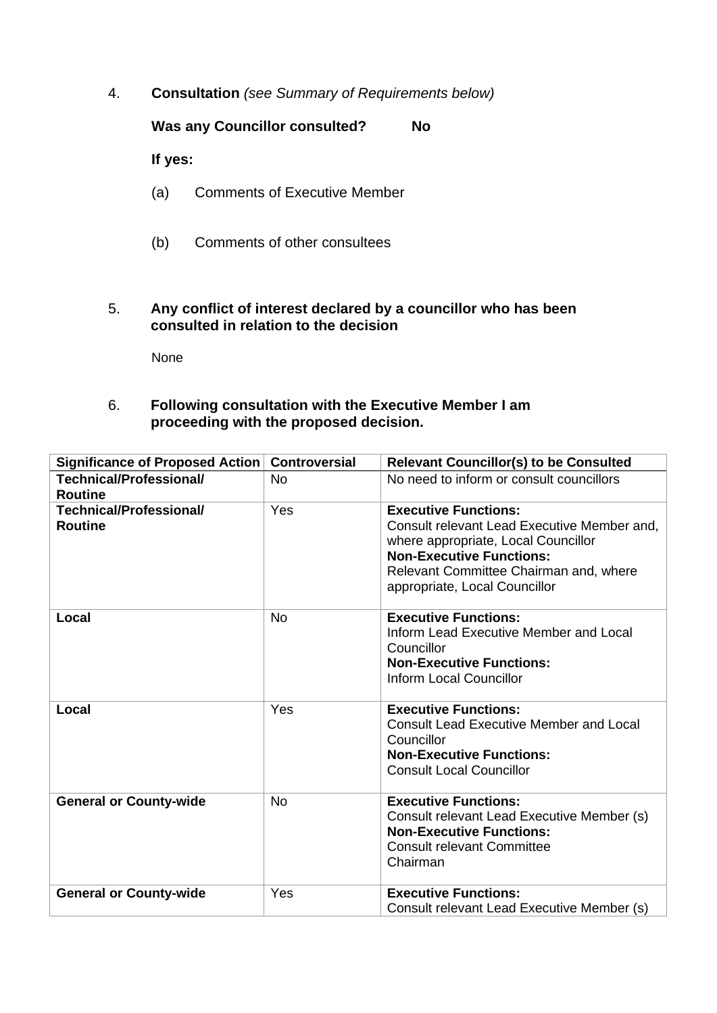4. **Consultation** *(see Summary of Requirements below)*

**Was any Councillor consulted? No**

**If yes:** 

- (a) Comments of Executive Member
- (b) Comments of other consultees
- 5. **Any conflict of interest declared by a councillor who has been consulted in relation to the decision**

None

### 6. **Following consultation with the Executive Member I am proceeding with the proposed decision.**

| Significance of Proposed Action           | <b>Controversial</b> | <b>Relevant Councillor(s) to be Consulted</b>                                                                                                                     |
|-------------------------------------------|----------------------|-------------------------------------------------------------------------------------------------------------------------------------------------------------------|
| Technical/Professional/                   | <b>No</b>            | No need to inform or consult councillors                                                                                                                          |
| <b>Routine</b>                            |                      |                                                                                                                                                                   |
| Technical/Professional/<br><b>Routine</b> | Yes                  | <b>Executive Functions:</b><br>Consult relevant Lead Executive Member and,<br>where appropriate, Local Councillor                                                 |
|                                           |                      | <b>Non-Executive Functions:</b><br>Relevant Committee Chairman and, where<br>appropriate, Local Councillor                                                        |
| Local                                     | <b>No</b>            | <b>Executive Functions:</b><br>Inform Lead Executive Member and Local<br>Councillor<br><b>Non-Executive Functions:</b><br><b>Inform Local Councillor</b>          |
| Local                                     | Yes                  | <b>Executive Functions:</b><br><b>Consult Lead Executive Member and Local</b><br>Councillor<br><b>Non-Executive Functions:</b><br><b>Consult Local Councillor</b> |
| <b>General or County-wide</b>             | <b>No</b>            | <b>Executive Functions:</b><br>Consult relevant Lead Executive Member (s)<br><b>Non-Executive Functions:</b><br><b>Consult relevant Committee</b><br>Chairman     |
| <b>General or County-wide</b>             | Yes                  | <b>Executive Functions:</b><br>Consult relevant Lead Executive Member (s)                                                                                         |